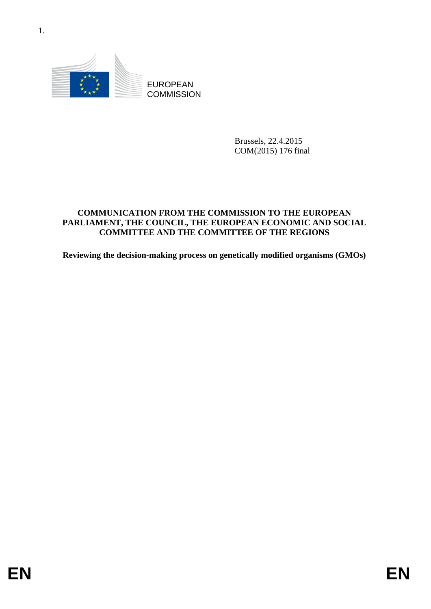

Brussels, 22.4.2015 COM(2015) 176 final

# EUROPEAN<br>
ENDERGRAPHY COMMISSION<br>
ENVELOPEAN<br>
COMMISSION<br>
COMMISSION<br>
PARLIAMENT, THE CONNET LIE TROPEAN POWADR COMMISSION<br>
PARLIAMENT, THE CONNET LIE TROPEAN POWADR COMMISSION<br>
Reviewing the decision-making process on gen **COMMUNICATION FROM THE COMMISSION TO THE EUROPEAN PARLIAMENT, THE COUNCIL, THE EUROPEAN ECONOMIC AND SOCIAL COMMITTEE AND THE COMMITTEE OF THE REGIONS**

**Reviewing the decision-making process on genetically modified organisms (GMOs)**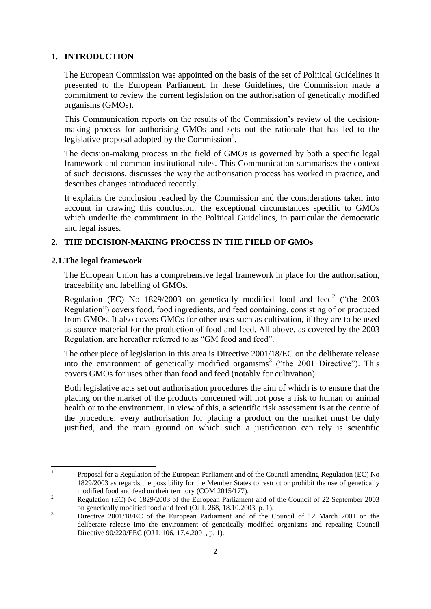# **1. INTRODUCTION**

The European Commission was appointed on the basis of the set of Political Guidelines it presented to the European Parliament. In these Guidelines, the Commission made a commitment to review the current legislation on the authorisation of genetically modified organisms (GMOs).

This Communication reports on the results of the Commission's review of the decisionmaking process for authorising GMOs and sets out the rationale that has led to the legislative proposal adopted by the Commission $<sup>1</sup>$ .</sup>

The decision-making process in the field of GMOs is governed by both a specific legal framework and common institutional rules. This Communication summarises the context of such decisions, discusses the way the authorisation process has worked in practice, and describes changes introduced recently.

It explains the conclusion reached by the Commission and the considerations taken into account in drawing this conclusion: the exceptional circumstances specific to GMOs which underlie the commitment in the Political Guidelines, in particular the democratic and legal issues.

# **2. THE DECISION-MAKING PROCESS IN THE FIELD OF GMOs**

# **2.1.The legal framework**

The European Union has a comprehensive legal framework in place for the authorisation, traceability and labelling of GMOs.

Regulation (EC) No  $1829/2003$  on genetically modified food and feed<sup>2</sup> ("the 2003 Regulation") covers food, food ingredients, and feed containing, consisting of or produced from GMOs. It also covers GMOs for other uses such as cultivation, if they are to be used as source material for the production of food and feed. All above, as covered by the 2003 Regulation, are hereafter referred to as "GM food and feed".

The other piece of legislation in this area is Directive 2001/18/EC on the deliberate release into the environment of genetically modified organisms<sup>3</sup> ("the 2001 Directive"). This covers GMOs for uses other than food and feed (notably for cultivation).

Both legislative acts set out authorisation procedures the aim of which is to ensure that the placing on the market of the products concerned will not pose a risk to human or animal health or to the environment. In view of this, a scientific risk assessment is at the centre of the procedure: every authorisation for placing a product on the market must be duly justified, and the main ground on which such a justification can rely is scientific

 $\frac{1}{1}$ Proposal for a Regulation of the European Parliament and of the Council amending Regulation (EC) No 1829/2003 as regards the possibility for the Member States to restrict or prohibit the use of genetically modified food and feed on their territory (COM 2015/177).

<sup>&</sup>lt;sup>2</sup> Regulation (EC) No 1829/2003 of the European Parliament and of the Council of 22 September 2003 on genetically modified food and feed (OJ L 268, 18.10.2003, p. 1).

<sup>&</sup>lt;sup>3</sup> Directive 2001/18/EC of the European Parliament and of the Council of 12 March 2001 on the deliberate release into the environment of genetically modified organisms and repealing Council Directive 90/220/EEC (OJ L 106, 17.4.2001, p. 1).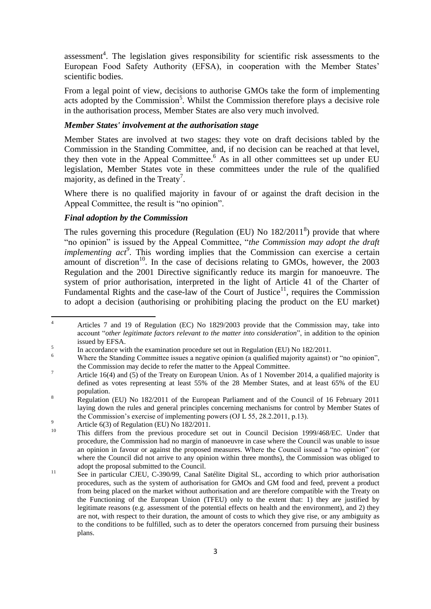assessment<sup>4</sup>. The legislation gives responsibility for scientific risk assessments to the European Food Safety Authority (EFSA), in cooperation with the Member States' scientific bodies.

From a legal point of view, decisions to authorise GMOs take the form of implementing acts adopted by the Commission<sup>5</sup>. Whilst the Commission therefore plays a decisive role in the authorisation process, Member States are also very much involved.

### *Member States' involvement at the authorisation stage*

Member States are involved at two stages: they vote on draft decisions tabled by the Commission in the Standing Committee, and, if no decision can be reached at that level, they then vote in the Appeal Committee.<sup>6</sup> As in all other committees set up under EU legislation, Member States vote in these committees under the rule of the qualified majority, as defined in the Treaty<sup>7</sup>.

Where there is no qualified majority in favour of or against the draft decision in the Appeal Committee, the result is "no opinion".

# *Final adoption by the Commission*

The rules governing this procedure (Regulation (EU) No  $182/2011<sup>8</sup>$ ) provide that where "no opinion" is issued by the Appeal Committee, "*the Commission may adopt the draft implementing act<sup>9</sup>*. This wording implies that the Commission can exercise a certain amount of discretion<sup>10</sup>. In the case of decisions relating to GMOs, however, the  $2003$ Regulation and the 2001 Directive significantly reduce its margin for manoeuvre. The system of prior authorisation, interpreted in the light of Article 41 of the Charter of Fundamental Rights and the case-law of the Court of Justice<sup>11</sup>, requires the Commission to adopt a decision (authorising or prohibiting placing the product on the EU market)

 $\overline{4}$ <sup>4</sup> Articles 7 and 19 of Regulation (EC) No 1829/2003 provide that the Commission may, take into account "*other legitimate factors relevant to the matter into consideration*", in addition to the opinion issued by EFSA.

<sup>5</sup> In accordance with the examination procedure set out in Regulation (EU) No 182/2011.

<sup>&</sup>lt;sup>6</sup> Where the Standing Committee issues a negative opinion (a qualified majority against) or "no opinion", the Commission may decide to refer the matter to the Appeal Committee.

<sup>&</sup>lt;sup>7</sup> Article 16(4) and (5) of the Treaty on European Union. As of 1 November 2014, a qualified majority is defined as votes representing at least 55% of the 28 Member States, and at least 65% of the EU population.

<sup>&</sup>lt;sup>8</sup> Regulation (EU) No 182/2011 of the European Parliament and of the Council of 16 February 2011 laying down the rules and general principles concerning mechanisms for control by Member States of the Commission's exercise of implementing powers (OJ L 55, 28.2.2011, p.13).

<sup>&</sup>lt;sup>9</sup> Article 6(3) of Regulation (EU) No  $182/2011$ .

<sup>10</sup> This differs from the previous procedure set out in Council Decision 1999/468/EC. Under that procedure, the Commission had no margin of manoeuvre in case where the Council was unable to issue an opinion in favour or against the proposed measures. Where the Council issued a "no opinion" (or where the Council did not arrive to any opinion within three months), the Commission was obliged to adopt the proposal submitted to the Council.

<sup>&</sup>lt;sup>11</sup> See in particular CJEU, C-390/99, Canal Satélite Digital SL, according to which prior authorisation procedures, such as the system of authorisation for GMOs and GM food and feed, prevent a product from being placed on the market without authorisation and are therefore compatible with the Treaty on the Functioning of the European Union (TFEU) only to the extent that: 1) they are justified by legitimate reasons (e.g. assessment of the potential effects on health and the environment), and 2) they are not, with respect to their duration, the amount of costs to which they give rise, or any ambiguity as to the conditions to be fulfilled, such as to deter the operators concerned from pursuing their business plans.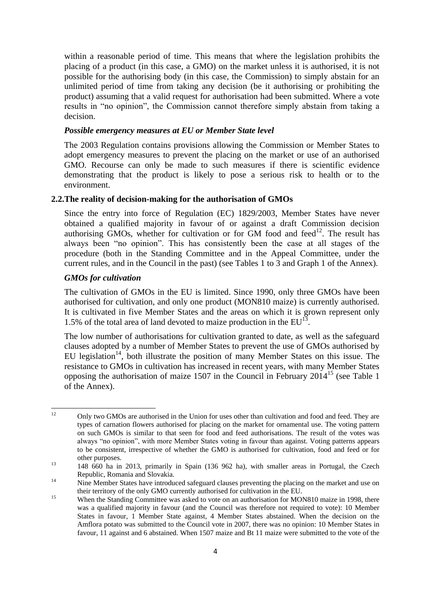within a reasonable period of time. This means that where the legislation prohibits the placing of a product (in this case, a GMO) on the market unless it is authorised, it is not possible for the authorising body (in this case, the Commission) to simply abstain for an unlimited period of time from taking any decision (be it authorising or prohibiting the product) assuming that a valid request for authorisation had been submitted. Where a vote results in "no opinion", the Commission cannot therefore simply abstain from taking a decision.

# *Possible emergency measures at EU or Member State level*

The 2003 Regulation contains provisions allowing the Commission or Member States to adopt emergency measures to prevent the placing on the market or use of an authorised GMO. Recourse can only be made to such measures if there is scientific evidence demonstrating that the product is likely to pose a serious risk to health or to the environment.

### **2.2.The reality of decision-making for the authorisation of GMOs**

Since the entry into force of Regulation (EC) 1829/2003, Member States have never obtained a qualified majority in favour of or against a draft Commission decision authorising GMOs, whether for cultivation or for GM food and feed<sup>12</sup>. The result has always been "no opinion". This has consistently been the case at all stages of the procedure (both in the Standing Committee and in the Appeal Committee, under the current rules, and in the Council in the past) (see Tables 1 to 3 and Graph 1 of the Annex).

### *GMOs for cultivation*

The cultivation of GMOs in the EU is limited. Since 1990, only three GMOs have been authorised for cultivation, and only one product (MON810 maize) is currently authorised. It is cultivated in five Member States and the areas on which it is grown represent only 1.5% of the total area of land devoted to maize production in the  $EU^{13}$ .

The low number of authorisations for cultivation granted to date, as well as the safeguard clauses adopted by a number of Member States to prevent the use of GMOs authorised by EU legislation<sup>14</sup>, both illustrate the position of many Member States on this issue. The resistance to GMOs in cultivation has increased in recent years, with many Member States opposing the authorisation of maize 1507 in the Council in February 2014<sup>15</sup> (see Table 1 of the Annex).

 $12$ <sup>12</sup> Only two GMOs are authorised in the Union for uses other than cultivation and food and feed. They are types of carnation flowers authorised for placing on the market for ornamental use. The voting pattern on such GMOs is similar to that seen for food and feed authorisations. The result of the votes was always "no opinion", with more Member States voting in favour than against. Voting patterns appears to be consistent, irrespective of whether the GMO is authorised for cultivation, food and feed or for other purposes.

<sup>&</sup>lt;sup>13</sup> 148 660 ha in 2013, primarily in Spain (136 962 ha), with smaller areas in Portugal, the Czech Republic, Romania and Slovakia.

<sup>&</sup>lt;sup>14</sup> Nine Member States have introduced safeguard clauses preventing the placing on the market and use on their territory of the only GMO currently authorised for cultivation in the EU.

<sup>&</sup>lt;sup>15</sup> When the Standing Committee was asked to vote on an authorisation for MON810 maize in 1998, there was a qualified majority in favour (and the Council was therefore not required to vote): 10 Member States in favour, 1 Member State against, 4 Member States abstained. When the decision on the Amflora potato was submitted to the Council vote in 2007, there was no opinion: 10 Member States in favour, 11 against and 6 abstained. When 1507 maize and Bt 11 maize were submitted to the vote of the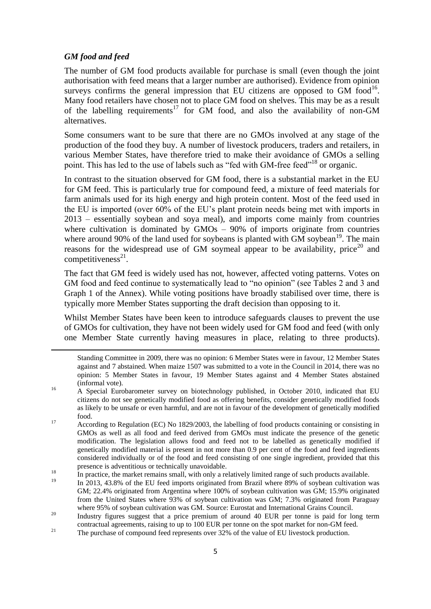# *GM food and feed*

**.** 

The number of GM food products available for purchase is small (even though the joint authorisation with feed means that a larger number are authorised). Evidence from opinion surveys confirms the general impression that EU citizens are opposed to GM  $\rm{food}^{16}$ . Many food retailers have chosen not to place GM food on shelves. This may be as a result of the labelling requirements<sup>17</sup> for GM food, and also the availability of non-GM alternatives.

Some consumers want to be sure that there are no GMOs involved at any stage of the production of the food they buy. A number of livestock producers, traders and retailers, in various Member States, have therefore tried to make their avoidance of GMOs a selling point. This has led to the use of labels such as "fed with GM-free feed"<sup>18</sup> or organic.

In contrast to the situation observed for GM food, there is a substantial market in the EU for GM feed. This is particularly true for compound feed, a mixture of feed materials for farm animals used for its high energy and high protein content. Most of the feed used in the EU is imported (over 60% of the EU's plant protein needs being met with imports in 2013 – essentially soybean and soya meal), and imports come mainly from countries where cultivation is dominated by GMOs – 90% of imports originate from countries where around 90% of the land used for soybeans is planted with GM soybean<sup>19</sup>. The main reasons for the widespread use of GM soymeal appear to be availability, price<sup>20</sup> and competitiveness $^{21}$ .

The fact that GM feed is widely used has not, however, affected voting patterns. Votes on GM food and feed continue to systematically lead to "no opinion" (see Tables 2 and 3 and Graph 1 of the Annex). While voting positions have broadly stabilised over time, there is typically more Member States supporting the draft decision than opposing to it.

Whilst Member States have been keen to introduce safeguards clauses to prevent the use of GMOs for cultivation, they have not been widely used for GM food and feed (with only one Member State currently having measures in place, relating to three products).

- <sup>16</sup> A Special Eurobarometer survey on biotechnology published, in October 2010, indicated that EU citizens do not see genetically modified food as offering benefits, consider genetically modified foods as likely to be unsafe or even harmful, and are not in favour of the development of genetically modified food.
- <sup>17</sup> According to Regulation (EC) No 1829/2003, the labelling of food products containing or consisting in GMOs as well as all food and feed derived from GMOs must indicate the presence of the genetic modification. The legislation allows food and feed not to be labelled as genetically modified if genetically modified material is present in not more than 0.9 per cent of the food and feed ingredients considered individually or of the food and feed consisting of one single ingredient, provided that this presence is adventitious or technically unavoidable.
- <sup>18</sup> In practice, the market remains small, with only a relatively limited range of such products available.
- In 2013, 43.8% of the EU feed imports originated from Brazil where 89% of soybean cultivation was GM; 22.4% originated from Argentina where 100% of soybean cultivation was GM; 15.9% originated from the United States where 93% of soybean cultivation was GM; 7.3% originated from Paraguay where 95% of soybean cultivation was GM. Source: Eurostat and International Grains Council.
- <sup>20</sup> Industry figures suggest that a price premium of around 40 EUR per tonne is paid for long term contractual agreements, raising to up to 100 EUR per tonne on the spot market for non-GM feed.
- <sup>21</sup> The purchase of compound feed represents over  $32\%$  of the value of EU livestock production.

Standing Committee in 2009, there was no opinion: 6 Member States were in favour, 12 Member States against and 7 abstained. When maize 1507 was submitted to a vote in the Council in 2014, there was no opinion: 5 Member States in favour, 19 Member States against and 4 Member States abstained (informal vote).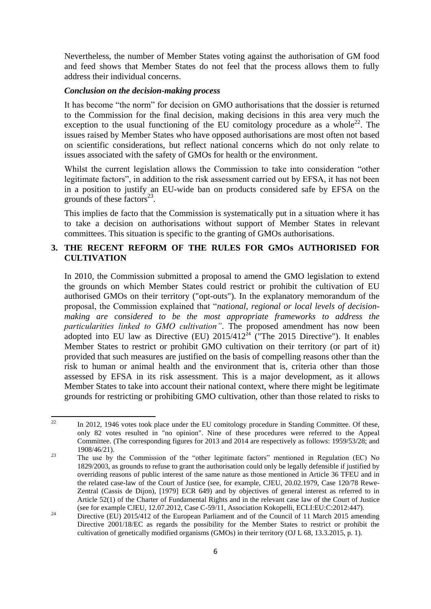Nevertheless, the number of Member States voting against the authorisation of GM food and feed shows that Member States do not feel that the process allows them to fully address their individual concerns.

### *Conclusion on the decision-making process*

It has become "the norm" for decision on GMO authorisations that the dossier is returned to the Commission for the final decision, making decisions in this area very much the exception to the usual functioning of the EU comitology procedure as a whole<sup>22</sup>. The issues raised by Member States who have opposed authorisations are most often not based on scientific considerations, but reflect national concerns which do not only relate to issues associated with the safety of GMOs for health or the environment.

Whilst the current legislation allows the Commission to take into consideration "other legitimate factors", in addition to the risk assessment carried out by EFSA, it has not been in a position to justify an EU-wide ban on products considered safe by EFSA on the grounds of these factors $^{23}$ .

This implies de facto that the Commission is systematically put in a situation where it has to take a decision on authorisations without support of Member States in relevant committees. This situation is specific to the granting of GMOs authorisations.

# **3. THE RECENT REFORM OF THE RULES FOR GMOs AUTHORISED FOR CULTIVATION**

In 2010, the Commission submitted a proposal to amend the GMO legislation to extend the grounds on which Member States could restrict or prohibit the cultivation of EU authorised GMOs on their territory ("opt-outs"). In the explanatory memorandum of the proposal, the Commission explained that "*national, regional or local levels of decisionmaking are considered to be the most appropriate frameworks to address the particularities linked to GMO cultivation"*. The proposed amendment has now been adopted into EU law as Directive (EU)  $2015/412^{24}$  ("The 2015 Directive"). It enables Member States to restrict or prohibit GMO cultivation on their territory (or part of it) provided that such measures are justified on the basis of compelling reasons other than the risk to human or animal health and the environment that is, criteria other than those assessed by EFSA in its risk assessment. This is a major development, as it allows Member States to take into account their national context, where there might be legitimate grounds for restricting or prohibiting GMO cultivation, other than those related to risks to

 $22$ In 2012, 1946 votes took place under the EU comitology procedure in Standing Committee. Of these, only 82 votes resulted in "no opinion". Nine of these procedures were referred to the Appeal Committee. (The corresponding figures for 2013 and 2014 are respectively as follows: 1959/53/28; and 1908/46/21).

<sup>&</sup>lt;sup>23</sup> The use by the Commission of the "other legitimate factors" mentioned in Regulation (EC) No 1829/2003, as grounds to refuse to grant the authorisation could only be legally defensible if justified by overriding reasons of public interest of the same nature as those mentioned in Article 36 TFEU and in the related case-law of the Court of Justice (see, for example, CJEU, 20.02.1979, Case 120/78 Rewe-Zentral (Cassis de Dijon), [1979] ECR 649) and by objectives of general interest as referred to in Article 52(1) of the Charter of Fundamental Rights and in the relevant case law of the Court of Justice (see for example CJEU, 12.07.2012, Case C-59/11, Association Kokopelli, ECLI:EU:C:2012:447).

<sup>&</sup>lt;sup>24</sup> Directive (EU) 2015/412 of the European Parliament and of the Council of 11 March 2015 amending Directive 2001/18/EC as regards the possibility for the Member States to restrict or prohibit the cultivation of genetically modified organisms (GMOs) in their territory (OJ L 68, 13.3.2015, p. 1).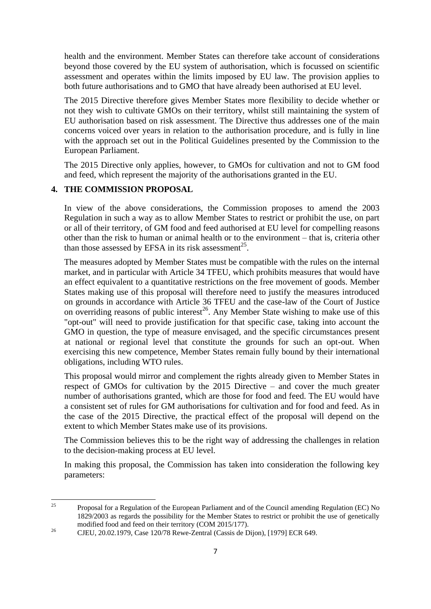health and the environment. Member States can therefore take account of considerations beyond those covered by the EU system of authorisation, which is focussed on scientific assessment and operates within the limits imposed by EU law. The provision applies to both future authorisations and to GMO that have already been authorised at EU level.

The 2015 Directive therefore gives Member States more flexibility to decide whether or not they wish to cultivate GMOs on their territory, whilst still maintaining the system of EU authorisation based on risk assessment. The Directive thus addresses one of the main concerns voiced over years in relation to the authorisation procedure, and is fully in line with the approach set out in the Political Guidelines presented by the Commission to the European Parliament.

The 2015 Directive only applies, however, to GMOs for cultivation and not to GM food and feed, which represent the majority of the authorisations granted in the EU.

# **4. THE COMMISSION PROPOSAL**

In view of the above considerations, the Commission proposes to amend the 2003 Regulation in such a way as to allow Member States to restrict or prohibit the use, on part or all of their territory, of GM food and feed authorised at EU level for compelling reasons other than the risk to human or animal health or to the environment – that is, criteria other than those assessed by EFSA in its risk assessment<sup>25</sup>.

The measures adopted by Member States must be compatible with the rules on the internal market, and in particular with Article 34 TFEU, which prohibits measures that would have an effect equivalent to a quantitative restrictions on the free movement of goods. Member States making use of this proposal will therefore need to justify the measures introduced on grounds in accordance with Article 36 TFEU and the case-law of the Court of Justice on overriding reasons of public interest<sup>26</sup>. Any Member State wishing to make use of this "opt-out" will need to provide justification for that specific case, taking into account the GMO in question, the type of measure envisaged, and the specific circumstances present at national or regional level that constitute the grounds for such an opt-out. When exercising this new competence, Member States remain fully bound by their international obligations, including WTO rules.

This proposal would mirror and complement the rights already given to Member States in respect of GMOs for cultivation by the 2015 Directive – and cover the much greater number of authorisations granted, which are those for food and feed. The EU would have a consistent set of rules for GM authorisations for cultivation and for food and feed. As in the case of the 2015 Directive, the practical effect of the proposal will depend on the extent to which Member States make use of its provisions.

The Commission believes this to be the right way of addressing the challenges in relation to the decision-making process at EU level.

In making this proposal, the Commission has taken into consideration the following key parameters:

 $25$ <sup>25</sup> Proposal for a Regulation of the European Parliament and of the Council amending Regulation (EC) No 1829/2003 as regards the possibility for the Member States to restrict or prohibit the use of genetically modified food and feed on their territory (COM 2015/177).

<sup>&</sup>lt;sup>26</sup> CJEU, 20.02.1979, Case 120/78 Rewe-Zentral (Cassis de Dijon), [1979] ECR 649.